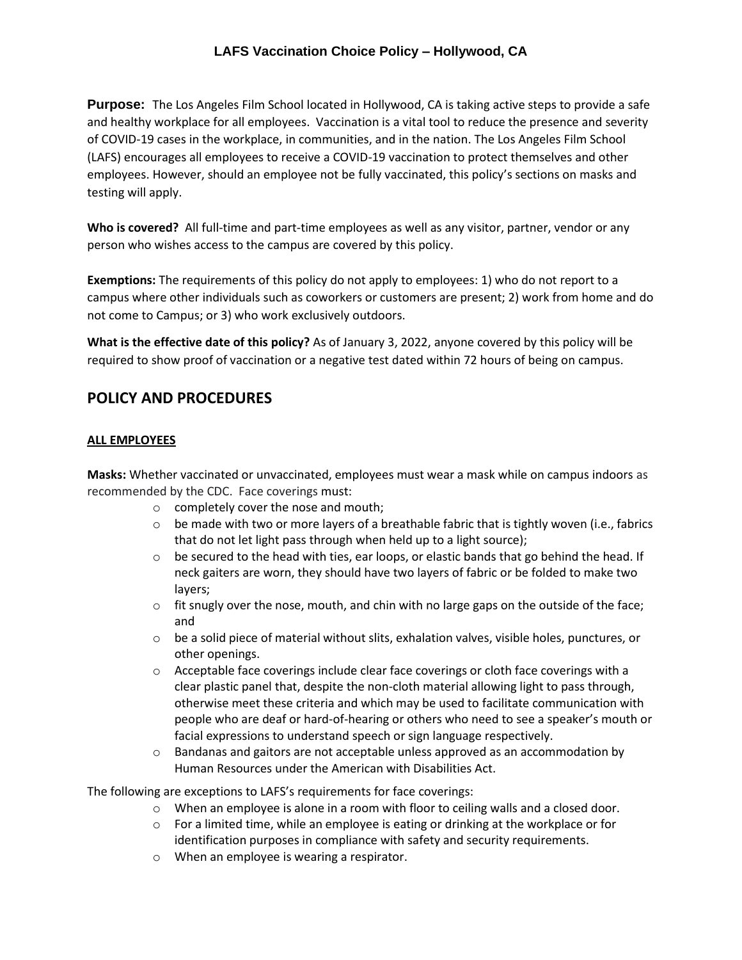## **LAFS Vaccination Choice Policy – Hollywood, CA**

**Purpose:** The Los Angeles Film School located in Hollywood, CA is taking active steps to provide a safe and healthy workplace for all employees. Vaccination is a vital tool to reduce the presence and severity of COVID-19 cases in the workplace, in communities, and in the nation. The Los Angeles Film School (LAFS) encourages all employees to receive a COVID-19 vaccination to protect themselves and other employees. However, should an employee not be fully vaccinated, this policy's sections on masks and testing will apply.

**Who is covered?** All full-time and part-time employees as well as any visitor, partner, vendor or any person who wishes access to the campus are covered by this policy.

**Exemptions:** The requirements of this policy do not apply to employees: 1) who do not report to a campus where other individuals such as coworkers or customers are present; 2) work from home and do not come to Campus; or 3) who work exclusively outdoors.

**What is the effective date of this policy?** As of January 3, 2022, anyone covered by this policy will be required to show proof of vaccination or a negative test dated within 72 hours of being on campus.

# **POLICY AND PROCEDURES**

#### **ALL EMPLOYEES**

**Masks:** Whether vaccinated or unvaccinated, employees must wear a mask while on campus indoors as recommended by the CDC. Face coverings must:

- o completely cover the nose and mouth;
- $\circ$  be made with two or more layers of a breathable fabric that is tightly woven (i.e., fabrics that do not let light pass through when held up to a light source);
- $\circ$  be secured to the head with ties, ear loops, or elastic bands that go behind the head. If neck gaiters are worn, they should have two layers of fabric or be folded to make two layers;
- $\circ$  fit snugly over the nose, mouth, and chin with no large gaps on the outside of the face; and
- $\circ$  be a solid piece of material without slits, exhalation valves, visible holes, punctures, or other openings.
- $\circ$  Acceptable face coverings include clear face coverings or cloth face coverings with a clear plastic panel that, despite the non-cloth material allowing light to pass through, otherwise meet these criteria and which may be used to facilitate communication with people who are deaf or hard-of-hearing or others who need to see a speaker's mouth or facial expressions to understand speech or sign language respectively.
- $\circ$  Bandanas and gaitors are not acceptable unless approved as an accommodation by Human Resources under the American with Disabilities Act.

The following are exceptions to LAFS's requirements for face coverings:

- $\circ$  When an employee is alone in a room with floor to ceiling walls and a closed door.
- $\circ$  For a limited time, while an employee is eating or drinking at the workplace or for identification purposes in compliance with safety and security requirements.
- o When an employee is wearing a respirator.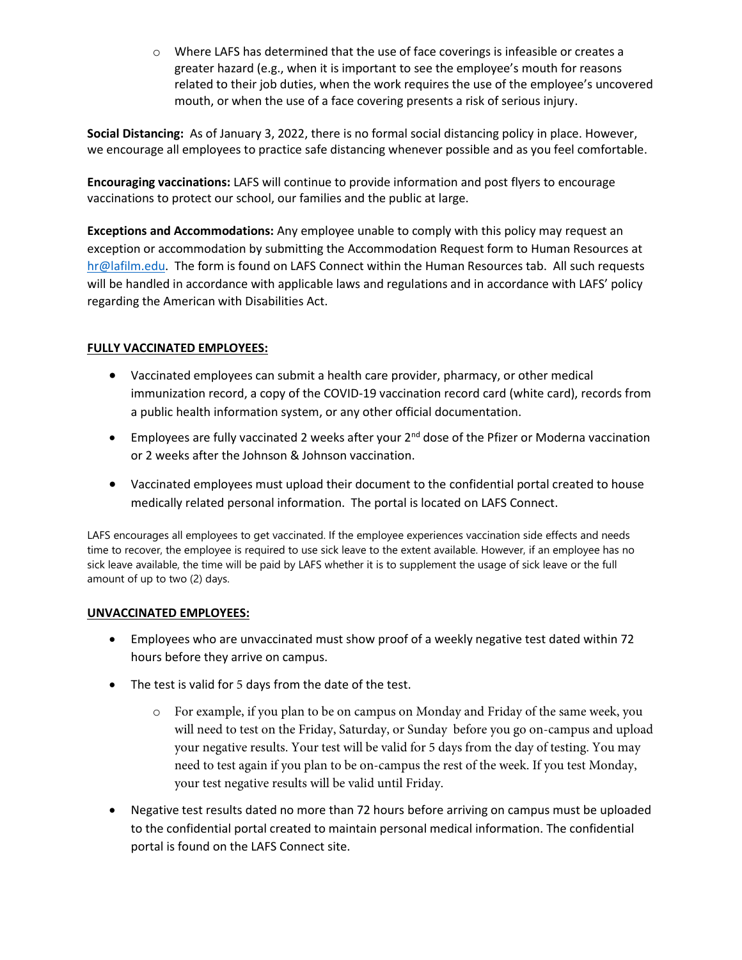o Where LAFS has determined that the use of face coverings is infeasible or creates a greater hazard (e.g., when it is important to see the employee's mouth for reasons related to their job duties, when the work requires the use of the employee's uncovered mouth, or when the use of a face covering presents a risk of serious injury.

**Social Distancing:** As of January 3, 2022, there is no formal social distancing policy in place. However, we encourage all employees to practice safe distancing whenever possible and as you feel comfortable.

**Encouraging vaccinations:** LAFS will continue to provide information and post flyers to encourage vaccinations to protect our school, our families and the public at large.

**Exceptions and Accommodations:** Any employee unable to comply with this policy may request an exception or accommodation by submitting the Accommodation Request form to Human Resources at [hr@lafilm.edu.](mailto:hr@lafilm.edu) The form is found on LAFS Connect within the Human Resources tab. All such requests will be handled in accordance with applicable laws and regulations and in accordance with LAFS' policy regarding the American with Disabilities Act.

### **FULLY VACCINATED EMPLOYEES:**

- Vaccinated employees can submit a health care provider, pharmacy, or other medical immunization record, a copy of the COVID-19 vaccination record card (white card), records from a public health information system, or any other official documentation.
- Employees are fully vaccinated 2 weeks after your  $2^{nd}$  dose of the Pfizer or Moderna vaccination or 2 weeks after the Johnson & Johnson vaccination.
- Vaccinated employees must upload their document to the confidential portal created to house medically related personal information. The portal is located on LAFS Connect.

LAFS encourages all employees to get vaccinated. If the employee experiences vaccination side effects and needs time to recover, the employee is required to use sick leave to the extent available. However, if an employee has no sick leave available, the time will be paid by LAFS whether it is to supplement the usage of sick leave or the full amount of up to two (2) days.

#### **UNVACCINATED EMPLOYEES:**

- Employees who are unvaccinated must show proof of a weekly negative test dated within 72 hours before they arrive on campus.
- The test is valid for 5 days from the date of the test.
	- o For example, if you plan to be on campus on Monday and Friday of the same week, you will need to test on the Friday, Saturday, or Sunday before you go on-campus and upload your negative results. Your test will be valid for 5 days from the day of testing. You may need to test again if you plan to be on-campus the rest of the week. If you test Monday, your test negative results will be valid until Friday.
- Negative test results dated no more than 72 hours before arriving on campus must be uploaded to the confidential portal created to maintain personal medical information. The confidential portal is found on the LAFS Connect site.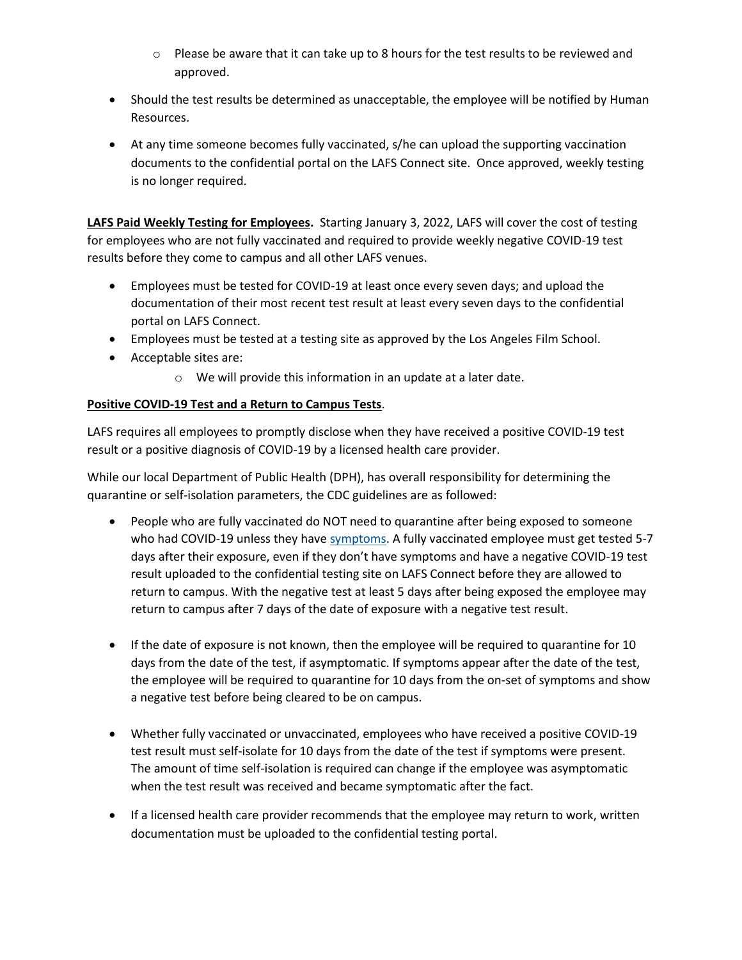- $\circ$  Please be aware that it can take up to 8 hours for the test results to be reviewed and approved.
- Should the test results be determined as unacceptable, the employee will be notified by Human Resources.
- At any time someone becomes fully vaccinated, s/he can upload the supporting vaccination documents to the confidential portal on the LAFS Connect site. Once approved, weekly testing is no longer required.

**LAFS Paid Weekly Testing for Employees.** Starting January 3, 2022, LAFS will cover the cost of testing for employees who are not fully vaccinated and required to provide weekly negative COVID-19 test results before they come to campus and all other LAFS venues.

- Employees must be tested for COVID-19 at least once every seven days; and upload the documentation of their most recent test result at least every seven days to the confidential portal on LAFS Connect.
- Employees must be tested at a testing site as approved by the Los Angeles Film School.
- Acceptable sites are:
	- o We will provide this information in an update at a later date.

### **Positive COVID-19 Test and a Return to Campus Tests**.

LAFS requires all employees to promptly disclose when they have received a positive COVID-19 test result or a positive diagnosis of COVID-19 by a licensed health care provider.

While our local Department of Public Health (DPH), has overall responsibility for determining the quarantine or self-isolation parameters, the CDC guidelines are as followed:

- People who are fully vaccinated do NOT need to quarantine after being exposed to someone who had COVID-19 unless they have [symptoms.](https://www.cdc.gov/coronavirus/2019-ncov/symptoms-testing/symptoms.html) A fully vaccinated employee must get tested 5-7 days after their exposure, even if they don't have symptoms and have a negative COVID-19 test result uploaded to the confidential testing site on LAFS Connect before they are allowed to return to campus. With the negative test at least 5 days after being exposed the employee may return to campus after 7 days of the date of exposure with a negative test result.
- If the date of exposure is not known, then the employee will be required to quarantine for 10 days from the date of the test, if asymptomatic. If symptoms appear after the date of the test, the employee will be required to quarantine for 10 days from the on-set of symptoms and show a negative test before being cleared to be on campus.
- Whether fully vaccinated or unvaccinated, employees who have received a positive COVID-19 test result must self-isolate for 10 days from the date of the test if symptoms were present. The amount of time self-isolation is required can change if the employee was asymptomatic when the test result was received and became symptomatic after the fact.
- If a licensed health care provider recommends that the employee may return to work, written documentation must be uploaded to the confidential testing portal.